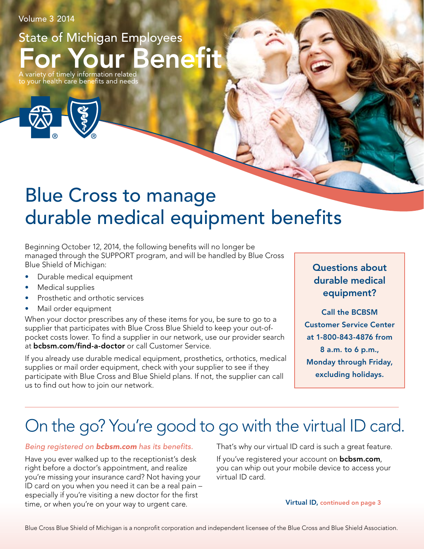Volume 3 2014

Benefit State of Michigan Employees A variety of timely information related

to your health care benefits and needs



# Blue Cross to manage durable medical equipment benefits

Beginning October 12, 2014, the following benefits will no longer be managed through the SUPPORT program, and will be handled by Blue Cross Blue Shield of Michigan:

- Durable medical equipment
- Medical supplies
- Prosthetic and orthotic services
- Mail order equipment

When your doctor prescribes any of these items for you, be sure to go to a supplier that participates with Blue Cross Blue Shield to keep your out-ofpocket costs lower. To find a supplier in our network, use our provider search at bcbsm.com/find-a-doctor or call Customer Service.

If you already use durable medical equipment, prosthetics, orthotics, medical supplies or mail order equipment, check with your supplier to see if they participate with Blue Cross and Blue Shield plans. If not, the supplier can call us to find out how to join our network.

### Questions about durable medical equipment?

Call the BCBSM Customer Service Center at 1-800-843-4876 from 8 a.m. to 6 p.m., Monday through Friday, excluding holidays.

# On the go? You're good to go with the virtual ID card.

#### *Being registered on bcbsm.com has its benefits.*

Have you ever walked up to the receptionist's desk right before a doctor's appointment, and realize you're missing your insurance card? Not having your ID card on you when you need it can be a real pain – especially if you're visiting a new doctor for the first time, or when you're on your way to urgent care.

That's why our virtual ID card is such a great feature.

If you've registered your account on **bcbsm.com**, you can whip out your mobile device to access your virtual ID card.

Virtual ID, continued on page 3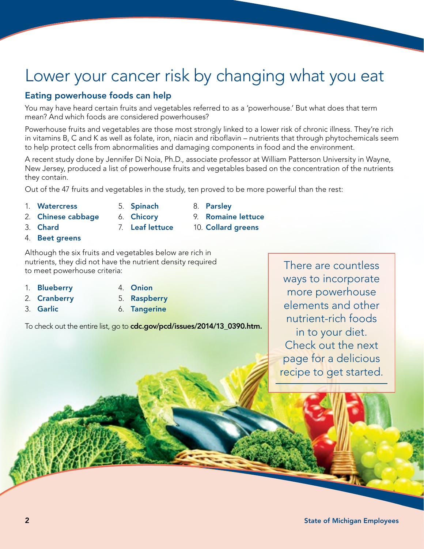## Lower your cancer risk by changing what you eat

#### Eating powerhouse foods can help

You may have heard certain fruits and vegetables referred to as a 'powerhouse.' But what does that term mean? And which foods are considered powerhouses?

Powerhouse fruits and vegetables are those most strongly linked to a lower risk of chronic illness. They're rich in vitamins B, C and K as well as folate, iron, niacin and riboflavin – nutrients that through phytochemicals seem to help protect cells from abnormalities and damaging components in food and the environment.

A recent study done by Jennifer Di Noia, Ph.D., associate professor at William Patterson University in Wayne, New Jersey, produced a list of powerhouse fruits and vegetables based on the concentration of the nutrients they contain.

10. Collard greens

Out of the 47 fruits and vegetables in the study, ten proved to be more powerful than the rest:

- 1. Watercress
- 
- 5. Spinach 6. Chicory 8. Parsley 9. Romaine lettuce
- 2. Chinese cabbage
- 3. Chard
- 4. Beet greens

Although the six fruits and vegetables below are rich in nutrients, they did not have the nutrient density required to meet powerhouse criteria:

- 1. Blueberry
- 2. Cranberry
- 3. Garlic
- 4. Onion
- 5. Raspberry 6. Tangerine

7. Leaf lettuce

To check out the entire list, go to cdc.gov/pcd/issues/2014/13\_0390.htm.

There are countless ways to incorporate more powerhouse elements and other nutrient-rich foods in to your diet. Check out the next page for a delicious recipe to get started.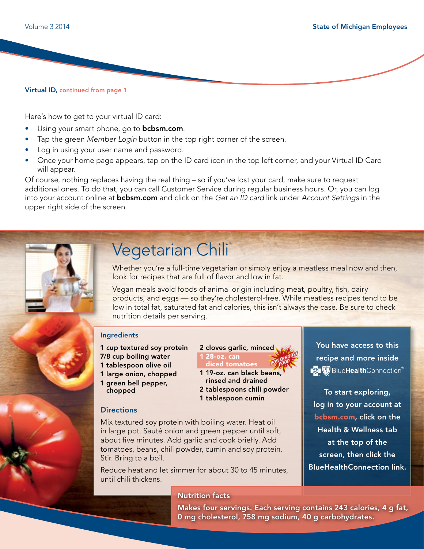Virtual ID, continued from page 1

Here's how to get to your virtual ID card:

- Using your smart phone, go to **bcbsm.com**.
- Tap the green *Member Login* button in the top right corner of the screen.
- Log in using your user name and password.
- Once your home page appears, tap on the ID card icon in the top left corner, and your Virtual ID Card will appear.

Of course, nothing replaces having the real thing – so if you've lost your card, make sure to request additional ones. To do that, you can call Customer Service during regular business hours. Or, you can log into your account online at bcbsm.com and click on the *Get an ID card* link under *Account Settings* in the upper right side of the screen.



## Vegetarian Chili

Whether you're a full-time vegetarian or simply enjoy a meatless meal now and then, look for recipes that are full of flavor and low in fat.

Vegan meals avoid foods of animal origin including meat, poultry, fish, dairy products, and eggs — so they're cholesterol-free. While meatless recipes tend to be low in total fat, saturated fat and calories, this isn't always the case. Be sure to check nutrition details per serving.

#### Ingredients

- 1 cup textured soy protein
- 7/8 cup boiling water
- 1 tablespoon olive oil
- 1 large onion, chopped
- 1 green bell pepper, chopped

### **Directions**

Mix textured soy protein with boiling water. Heat oil in large pot. Sauté onion and green pepper until soft, about five minutes. Add garlic and cook briefly. Add tomatoes, beans, chili powder, cumin and soy protein. Stir. Bring to a boil.

Reduce heat and let simmer for about 30 to 45 minutes, until chili thickens.

#### Nutrition facts

**POWERHOUSE FOO<sup>D</sup>** 2 cloves garlic, minced 1 28-oz. can diced tomatoes

1 19-oz. can black beans, rinsed and drained 2 tablespoons chili powder 1 tablespoon cumin

You have access to this recipe and more inside **BlueHealthConnection®** 

To start exploring, log in to your account at bcbsm.com, click on the Health & Wellness tab at the top of the screen, then click the BlueHealthConnection link.

Makes four servings. Each serving contains 243 calories, 4 g fat, 0 mg cholesterol, 758 mg sodium, 40 g carbohydrates.